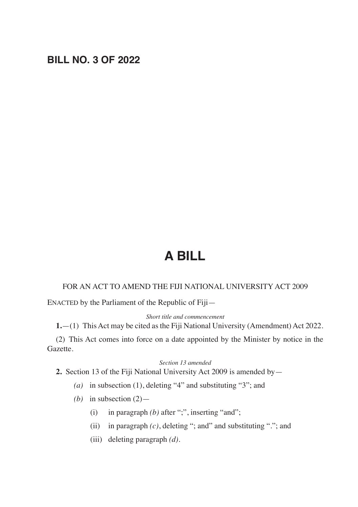## **BILL NO. 3 OF 2022**

# **A BILL**

#### FOR AN ACT TO AMEND THE FIJI NATIONAL UNIVERSITY ACT 2009

ENACTED by the Parliament of the Republic of Fiji—

*Short title and commencement*

**1.**—(1) This Act may be cited as the Fiji National University (Amendment) Act 2022.

(2) This Act comes into force on a date appointed by the Minister by notice in the Gazette.

#### *Section 13 amended*

**2.** Section 13 of the Fiji National University Act 2009 is amended by—

- *(a)* in subsection (1), deleting "4" and substituting "3"; and
- *(b)* in subsection (2)—
	- (i) in paragraph *(b)* after ";", inserting "and";
	- (ii) in paragraph *(c)*, deleting "; and" and substituting "."; and
	- (iii) deleting paragraph *(d)*.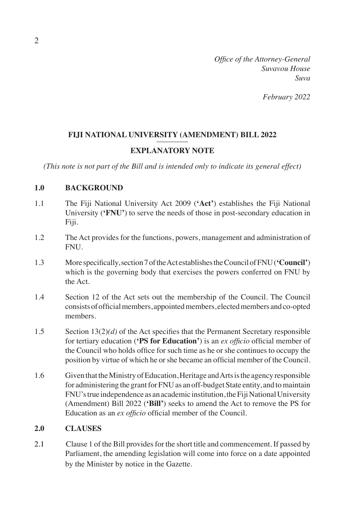*Office of the Attorney-General Suvavou House Suva*

*February 2022*

#### FIJI NATIONAL UNIVERSITY (AMENDMENT) BILL 2022

#### **EXPLANATORY NOTE**

*(This note is not part of the Bill and is intended only to indicate its general effect)*

#### **1.0 BACKGROUND**

- 1.1 The Fiji National University Act 2009 (**'Act'**) establishes the Fiji National University (**'FNU'**) to serve the needs of those in post-secondary education in Fiji.
- 1.2 The Act provides for the functions, powers, management and administration of FNU.
- 1.3 More specifically,section7oftheAct establishestheCouncilofFNU(**'Council'**) which is the governing body that exercises the powers conferred on FNU by the Act.
- 1.4 Section 12 of the Act sets out the membership of the Council. The Council consistsofofficialmembers, appointedmembers, electedmembers andco-opted members.
- 1.5 Section 13(2)*(d)* of the Act specifies that the Permanent Secretary responsible for tertiary education (**'PS for Education'**) is an *ex officio* official member of the Council who holds office for such time as he or she continues to occupy the position by virtue of which he orshe became an official member of the Council.
- 1.6 Given that the Ministry of Education, Heritage and Arts is the agency responsible for administering the grant for FNU as an off-budget State entity, and to maintain FNU's true independence as an academic institution, the Fiji National University (Amendment) Bill 2022 (**'Bill'**) seeks to amend the Act to remove the PS for Education as an *ex officio* official member of the Council.

#### **2.0 CLAUSES**

2.1 Clause 1 of the Bill provides for the short title and commencement. If passed by Parliament, the amending legislation will come into force on a date appointed by the Minister by notice in the Gazette.